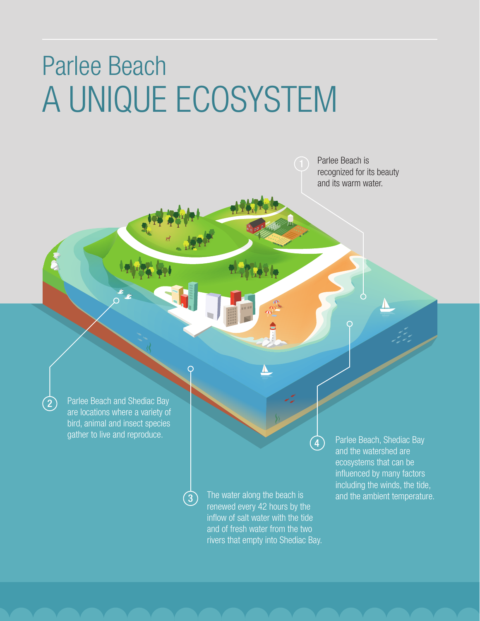# Parlee Beach A UNIQUE ECOSYSTEM

Parlee Beach is recognized for its beauty and its warm water.

Parlee Beach and Shediac Bay are locations where a variety of bird, animal and insect species gather to live and reproduce.

2

3

The water along the beach is and the ambient temperature. renewed every 42 hours by the inflow of salt water with the tide and of fresh water from the two rivers that empty into Shediac Bay.

4

Parlee Beach, Shediac Bay and the watershed are ecosystems that can be influenced by many factors including the winds, the tide,